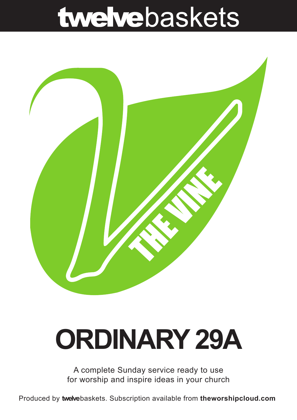## twelvebaskets



# **ORDINARY 29A**

A complete Sunday service ready to use for worship and inspire ideas in your church

Produced by **twelve**baskets. Subscription available from **theworshipcloud.com**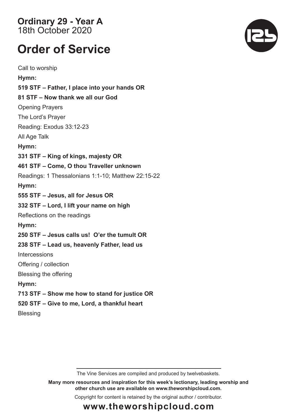**Ordinary 29 - Year A**  18th October 2020

### **Order of Service**

Call to worship **Hymn: 519 STF – Father, I place into your hands OR 81 STF – Now thank we all our God** Opening Prayers The Lord's Prayer Reading: Exodus 33:12-23 All Age Talk **Hymn: 331 STF – King of kings, majesty OR 461 STF – Come, O thou Traveller unknown** Readings: 1 Thessalonians 1:1-10; Matthew 22:15-22 **Hymn: 555 STF – Jesus, all for Jesus OR 332 STF – Lord, I lift your name on high** Reflections on the readings **Hymn: 250 STF – Jesus calls us! O'er the tumult OR 238 STF – Lead us, heavenly Father, lead us Intercessions** Offering / collection Blessing the offering **Hymn: 713 STF – Show me how to stand for justice OR 520 STF – Give to me, Lord, a thankful heart Blessing** 

The Vine Services are compiled and produced by twelvebaskets.

**Many more resources and inspiration for this week's lectionary, leading worship and other church use are available on www.theworshipcloud.com.**

Copyright for content is retained by the original author / contributor.



### **www.theworshipcloud.com**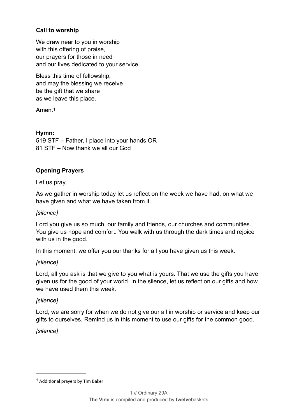#### **Call to worship**

We draw near to you in worship with this offering of praise, our prayers for those in need and our lives dedicated to your service.

Bless this time of fellowship, and may the blessing we receive be the gift that we share as we leave this place.

<span id="page-2-1"></span>Amen<sup>[1](#page-2-0)</sup>

#### **Hymn:**

519 STF – Father, I place into your hands OR 81 STF – Now thank we all our God

#### **Opening Prayers**

#### Let us pray,

As we gather in worship today let us reflect on the week we have had, on what we have given and what we have taken from it.

#### *[silence]*

Lord you give us so much, our family and friends, our churches and communities. You give us hope and comfort. You walk with us through the dark times and rejoice with us in the good.

In this moment, we offer you our thanks for all you have given us this week.

#### *[silence]*

Lord, all you ask is that we give to you what is yours. That we use the gifts you have given us for the good of your world. In the silence, let us reflect on our gifts and how we have used them this week.

#### *[silence]*

Lord, we are sorry for when we do not give our all in worship or service and keep our gifts to ourselves. Remind us in this moment to use our gifts for the common good.

#### *[silence]*

<span id="page-2-0"></span> $1$  Additional prayers by Tim Baker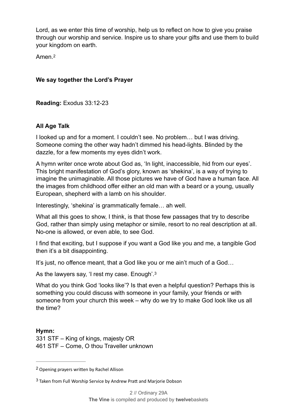Lord, as we enter this time of worship, help us to reflect on how to give you praise through our worship and service. Inspire us to share your gifts and use them to build your kingdom on earth.

<span id="page-3-2"></span>Amen.[2](#page-3-0)

#### **We say together the Lord's Prayer**

**Reading:** Exodus 33:12-23

#### **All Age Talk**

I looked up and for a moment. I couldn't see. No problem… but I was driving. Someone coming the other way hadn't dimmed his head-lights. Blinded by the dazzle, for a few moments my eyes didn't work.

A hymn writer once wrote about God as, 'In light, inaccessible, hid from our eyes'. This bright manifestation of God's glory, known as 'shekina', is a way of trying to imagine the unimaginable. All those pictures we have of God have a human face. All the images from childhood offer either an old man with a beard or a young, usually European, shepherd with a lamb on his shoulder.

Interestingly, 'shekina' is grammatically female… ah well.

What all this goes to show, I think, is that those few passages that try to describe God, rather than simply using metaphor or simile, resort to no real description at all. No-one is allowed, or even able, to see God.

I find that exciting, but I suppose if you want a God like you and me, a tangible God then it's a bit disappointing.

It's just, no offence meant, that a God like you or me ain't much of a God…

<span id="page-3-3"></span>As the lawyers say, 'I rest my case. Enough'.[3](#page-3-1)

What do you think God 'looks like'? Is that even a helpful question? Perhaps this is something you could discuss with someone in your family, your friends or with someone from your church this week – why do we try to make God look like us all the time?

#### **Hymn:**  331 STF – King of kings, majesty OR 461 STF – Come, O thou Traveller unknown

<span id="page-3-0"></span><sup>&</sup>lt;sup>[2](#page-3-2)</sup> Opening prayers written by Rachel Allison

<span id="page-3-1"></span> $3$  Taken from Full Worship Service by Andrew Pratt and Marjorie Dobson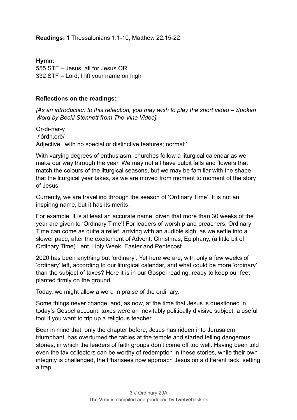**Readings:** 1 Thessalonians 1:1-10; Matthew 22:15-22

**Hymn:**  555 STF – Jesus, all for Jesus OR 332 STF – Lord, I lift your name on high

#### **Reflections on the readings:**

*[As an introduction to this reflection, you may wish to play the short video – Spoken Word by Becki Stennett from The Vine Video].* 

Or-di-nar-y /'ôrdn,erē/ Adjective, 'with no special or distinctive features; normal:'

With varying degrees of enthusiasm, churches follow a liturgical calendar as we make our way through the year. We may not all have pulpit falls and flowers that match the colours of the liturgical seasons, but we may be familiar with the shape that the liturgical year takes, as we are moved from moment to moment of the story of Jesus.

Currently, we are travelling through the season of 'Ordinary Time'. It is not an inspiring name, but it has its merits.

For example, it is at least an accurate name, given that more than 30 weeks of the year are given to 'Ordinary Time'! For leaders of worship and preachers, Ordinary Time can come as quite a relief, arriving with an audible sigh, as we settle into a slower pace, after the excitement of Advent, Christmas, Epiphany, (a little bit of Ordinary Time) Lent, Holy Week, Easter and Pentecost.

2020 has been anything but 'ordinary'. Yet here we are, with only a few weeks of 'ordinary' left, according to our liturgical calendar, and what could be more 'ordinary' than the subject of taxes? Here it is in our Gospel reading, ready to keep our feet planted firmly on the ground!

Today, we might allow a word in praise of the ordinary.

Some things never change, and, as now, at the time that Jesus is questioned in today's Gospel account, taxes were an inevitably politically divisive subject: a useful tool if you want to trip up a religious teacher.

Bear in mind that, only the chapter before, Jesus has ridden into Jerusalem triumphant, has overturned the tables at the temple and started telling dangerous stories, in which the leaders of faith groups don't come off too well. Having been told even the tax collectors can be worthy of redemption in these stories, while their own integrity is challenged, the Pharisees now approach Jesus on a different tack, setting a trap.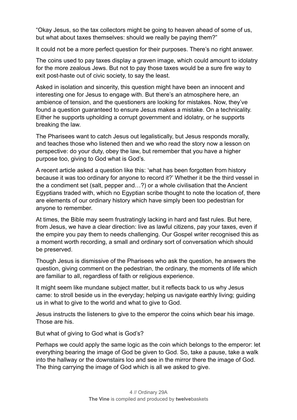"Okay Jesus, so the tax collectors might be going to heaven ahead of some of us, but what about taxes themselves: should we really be paying them?"

It could not be a more perfect question for their purposes. There's no right answer.

The coins used to pay taxes display a graven image, which could amount to idolatry for the more zealous Jews. But not to pay those taxes would be a sure fire way to exit post-haste out of civic society, to say the least.

Asked in isolation and sincerity, this question might have been an innocent and interesting one for Jesus to engage with. But there's an atmosphere here, an ambience of tension, and the questioners are looking for mistakes. Now, they've found a question guaranteed to ensure Jesus makes a mistake. On a technicality. Either he supports upholding a corrupt government and idolatry, or he supports breaking the law.

The Pharisees want to catch Jesus out legalistically, but Jesus responds morally, and teaches those who listened then and we who read the story now a lesson on perspective: do your duty, obey the law, but remember that you have a higher purpose too, giving to God what is God's.

A recent article asked a question like this: 'what has been forgotten from history because it was too ordinary for anyone to record it?' Whether it be the third vessel in the a condiment set (salt, pepper and…?) or a whole civilisation that the Ancient Egyptians traded with, which no Egyptian scribe thought to note the location of, there are elements of our ordinary history which have simply been too pedestrian for anyone to remember.

At times, the Bible may seem frustratingly lacking in hard and fast rules. But here, from Jesus, we have a clear direction: live as lawful citizens, pay your taxes, even if the empire you pay them to needs challenging. Our Gospel writer recognised this as a moment worth recording, a small and ordinary sort of conversation which should be preserved.

Though Jesus is dismissive of the Pharisees who ask the question, he answers the question, giving comment on the pedestrian, the ordinary, the moments of life which are familiar to all, regardless of faith or religious experience.

It might seem like mundane subject matter, but it reflects back to us why Jesus came: to stroll beside us in the everyday; helping us navigate earthly living; guiding us in what to give to the world and what to give to God.

Jesus instructs the listeners to give to the emperor the coins which bear his image. Those are his.

But what of giving to God what is God's?

Perhaps we could apply the same logic as the coin which belongs to the emperor: let everything bearing the image of God be given to God. So, take a pause, take a walk into the hallway or the downstairs loo and see in the mirror there the image of God. The thing carrying the image of God which is all we asked to give.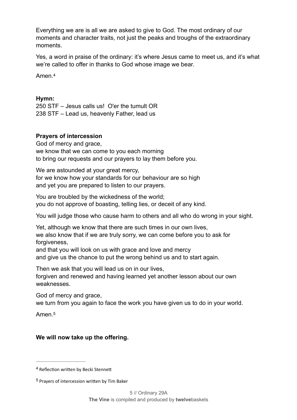Everything we are is all we are asked to give to God. The most ordinary of our moments and character traits, not just the peaks and troughs of the extraordinary moments.

Yes, a word in praise of the ordinary: it's where Jesus came to meet us, and it's what we're called to offer in thanks to God whose image we bear.

<span id="page-6-2"></span>Amen.[4](#page-6-0)

#### **Hymn:**

250 STF – Jesus calls us! O'er the tumult OR 238 STF – Lead us, heavenly Father, lead us

#### **Prayers of intercession**

God of mercy and grace, we know that we can come to you each morning to bring our requests and our prayers to lay them before you.

We are astounded at your great mercy, for we know how your standards for our behaviour are so high and yet you are prepared to listen to our prayers.

You are troubled by the wickedness of the world; you do not approve of boasting, telling lies, or deceit of any kind.

You will judge those who cause harm to others and all who do wrong in your sight.

Yet, although we know that there are such times in our own lives, we also know that if we are truly sorry, we can come before you to ask for forgiveness,

and that you will look on us with grace and love and mercy

and give us the chance to put the wrong behind us and to start again.

Then we ask that you will lead us on in our lives,

forgiven and renewed and having learned yet another lesson about our own weaknesses.

God of mercy and grace,

we turn from you again to face the work you have given us to do in your world.

<span id="page-6-3"></span>Amen<sup>[5](#page-6-1)</sup>

#### **We will now take up the offering.**

<span id="page-6-0"></span><sup>&</sup>lt;sup>[4](#page-6-2)</sup> Reflection written by Becki Stennett

<span id="page-6-1"></span><sup>&</sup>lt;sup>[5](#page-6-3)</sup> Prayers of intercession written by Tim Baker